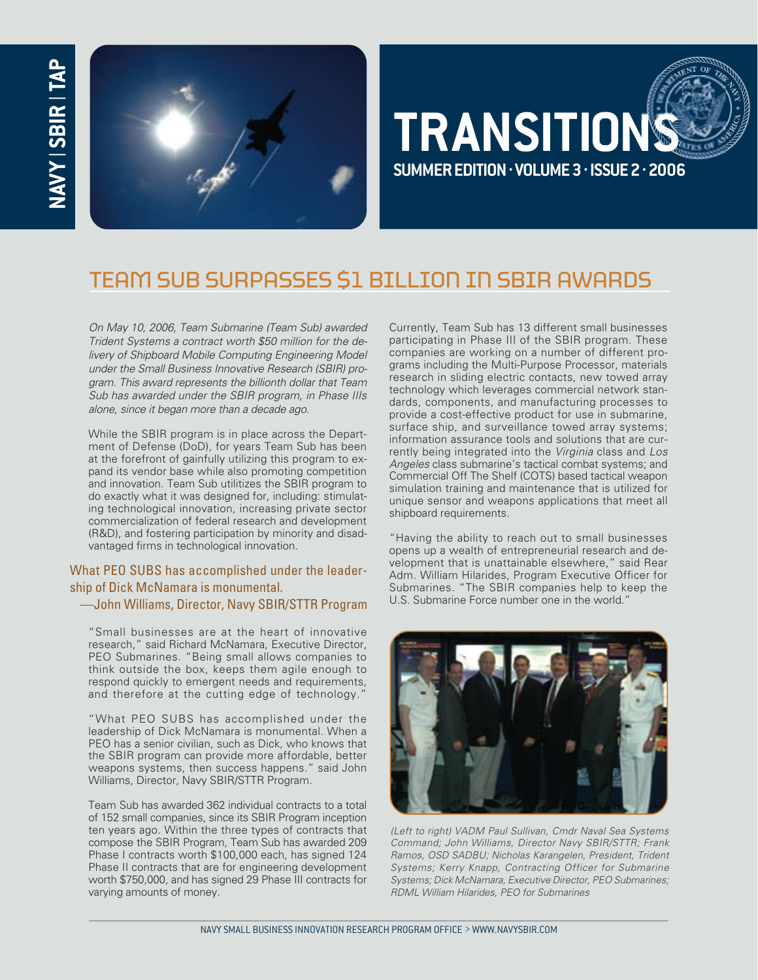

# **TRANSITIONS SUMMER EDITION . VOLUME 3. ISSUE 2 . 2006**

## TEAM SUB SURPASSES \$1 BILLION IN SBIR AWARDS

On May 10, 2006, Team Submarine (Team Sub) awarded Trident Systems a contract worth \$50 million for the delivery of Shipboard Mobile Computing Engineering Model under the Small Business Innovative Research (SBIR) program. This award represents the billionth dollar that Team Sub has awarded under the SBIR program, in Phase IIIs alone, since it began more than a decade ago.

While the SBIR program is in place across the Department of Defense (DoD), for years Team Sub has been at the forefront of gainfully utilizing this program to expand its vendor base while also promoting competition and innovation. Team Sub utilitizes the SBIR program to do exactly what it was designed for, including: stimulating technological innovation, increasing private sector commercialization of federal research and development (R&D), and fostering participation by minority and disadvantaged firms in technological innovation.

#### What PEO SUBS has accomplished under the leadership of Dick McNamara is monumental.

—John Williams, Director, Navy SBIR/STTR Program

"Small businesses are at the heart of innovative research," said Richard McNamara, Executive Director, PEO Submarines. "Being small allows companies to think outside the box, keeps them agile enough to respond quickly to emergent needs and requirements, and therefore at the cutting edge of technology."

"What PEO SUBS has accomplished under the leadership of Dick McNamara is monumental. When a PEO has a senior civilian, such as Dick, who knows that the SBIR program can provide more affordable, better weapons systems, then success happens." said John Williams, Director, Navy SBIR/STTR Program.

Team Sub has awarded 362 individual contracts to a total of 152 small companies, since its SBIR Program inception ten years ago. Within the three types of contracts that compose the SBIR Program, Team Sub has awarded 209 Phase I contracts worth \$100,000 each, has signed 124 Phase II contracts that are for engineering development worth \$750,000, and has signed 29 Phase III contracts for varying amounts of money.

Currently, Team Sub has 13 different small businesses participating in Phase III of the SBIR program. These companies are working on a number of different programs including the Multi-Purpose Processor, materials research in sliding electric contacts, new towed array technology which leverages commercial network standards, components, and manufacturing processes to provide a cost-effective product for use in submarine, surface ship, and surveillance towed array systems; information assurance tools and solutions that are currently being integrated into the Virginia class and Los Angeles class submarine's tactical combat systems; and Commercial Off The Shelf (COTS) based tactical weapon simulation training and maintenance that is utilized for unique sensor and weapons applications that meet all shipboard requirements.

"Having the ability to reach out to small businesses opens up a wealth of entrepreneurial research and development that is unattainable elsewhere," said Rear Adm. William Hilarides, Program Executive Officer for Submarines. "The SBIR companies help to keep the U.S. Submarine Force number one in the world."



(Left to right) VADM Paul Sullivan, Cmdr Naval Sea Systems Command; John Williams, Director Navy SBIR/STTR; Frank Ramos, OSD SADBU; Nicholas Karangelen, President, Trident Systems; Kerry Knapp, Contracting Officer for Submarine Systems; Dick McNamara, Executive Director, PEO Submarines; RDML William Hilarides, PEO for Submarines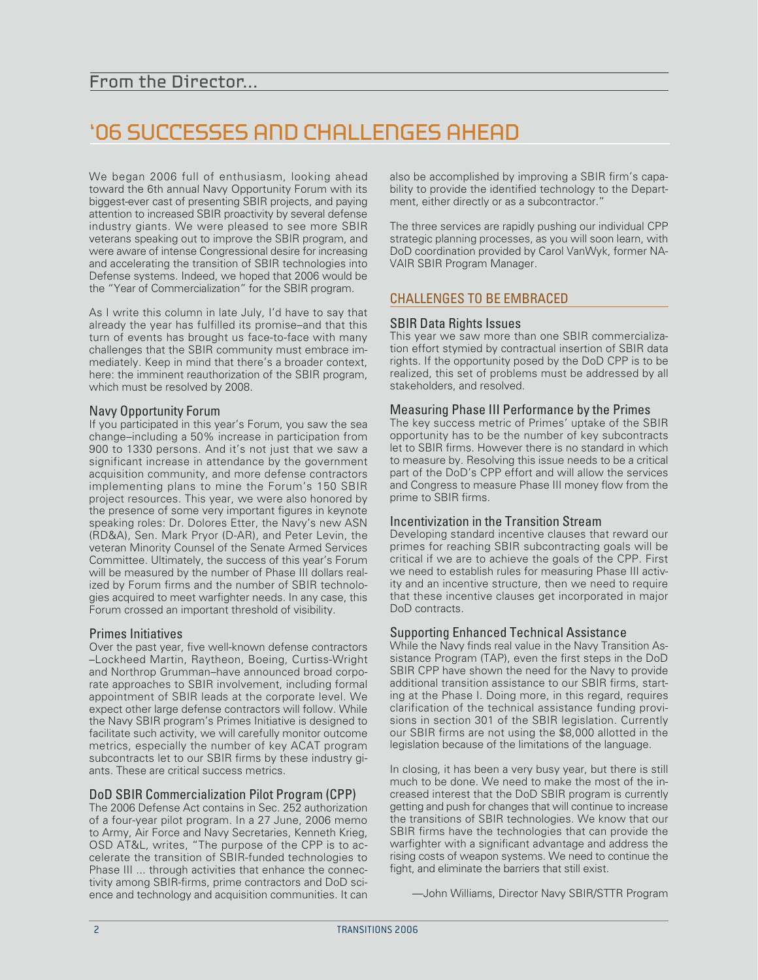## '06 SUCCESSES AND CHALLENGES AHEAD

We began 2006 full of enthusiasm, looking ahead toward the 6th annual Navy Opportunity Forum with its biggest-ever cast of presenting SBIR projects, and paying attention to increased SBIR proactivity by several defense industry giants. We were pleased to see more SBIR veterans speaking out to improve the SBIR program, and were aware of intense Congressional desire for increasing and accelerating the transition of SBIR technologies into Defense systems. Indeed, we hoped that 2006 would be the "Year of Commercialization" for the SBIR program.

As I write this column in late July, I'd have to say that already the year has fulfilled its promise–and that this turn of events has brought us face-to-face with many challenges that the SBIR community must embrace immediately. Keep in mind that there's a broader context, here: the imminent reauthorization of the SBIR program, which must be resolved by 2008.

#### Navy Opportunity Forum

If you participated in this year's Forum, you saw the sea change–including a 50% increase in participation from 900 to 1330 persons. And it's not just that we saw a significant increase in attendance by the government acquisition community, and more defense contractors implementing plans to mine the Forum's 150 SBIR project resources. This year, we were also honored by the presence of some very important figures in keynote speaking roles: Dr. Dolores Etter, the Navy's new ASN (RD&A), Sen. Mark Pryor (D-AR), and Peter Levin, the veteran Minority Counsel of the Senate Armed Services Committee. Ultimately, the success of this year's Forum will be measured by the number of Phase III dollars realized by Forum firms and the number of SBIR technologies acquired to meet warfighter needs. In any case, this Forum crossed an important threshold of visibility.

#### Primes Initiatives

Over the past year, five well-known defense contractors –Lockheed Martin, Raytheon, Boeing, Curtiss-Wright and Northrop Grumman–have announced broad corporate approaches to SBIR involvement, including formal appointment of SBIR leads at the corporate level. We expect other large defense contractors will follow. While the Navy SBIR program's Primes Initiative is designed to facilitate such activity, we will carefully monitor outcome metrics, especially the number of key ACAT program subcontracts let to our SBIR firms by these industry giants. These are critical success metrics.

#### DoD SBIR Commercialization Pilot Program (CPP)

The 2006 Defense Act contains in Sec. 252 authorization of a four-year pilot program. In a 27 June, 2006 memo to Army, Air Force and Navy Secretaries, Kenneth Krieg, OSD AT&L, writes, "The purpose of the CPP is to accelerate the transition of SBIR-funded technologies to Phase III ... through activities that enhance the connectivity among SBIR-firms, prime contractors and DoD science and technology and acquisition communities. It can also be accomplished by improving a SBIR firm's capability to provide the identified technology to the Department, either directly or as a subcontractor.'

The three services are rapidly pushing our individual CPP strategic planning processes, as you will soon learn, with DoD coordination provided by Carol VanWyk, former NA-VAIR SBIR Program Manager.

#### CHALLENGES TO BE EMBRACED

#### SBIR Data Rights Issues

This year we saw more than one SBIR commercialization effort stymied by contractual insertion of SBIR data rights. If the opportunity posed by the DoD CPP is to be realized, this set of problems must be addressed by all stakeholders, and resolved.

#### Measuring Phase III Performance by the Primes

The key success metric of Primes' uptake of the SBIR opportunity has to be the number of key subcontracts let to SBIR firms. However there is no standard in which to measure by. Resolving this issue needs to be a critical part of the DoD's CPP effort and will allow the services and Congress to measure Phase III money flow from the prime to SBIR firms.

#### Incentivization in the Transition Stream

Developing standard incentive clauses that reward our primes for reaching SBIR subcontracting goals will be critical if we are to achieve the goals of the CPP. First we need to establish rules for measuring Phase III activity and an incentive structure, then we need to require that these incentive clauses get incorporated in major DoD contracts.

#### Supporting Enhanced Technical Assistance

While the Navy finds real value in the Navy Transition Assistance Program (TAP), even the first steps in the DoD SBIR CPP have shown the need for the Navy to provide additional transition assistance to our SBIR firms, starting at the Phase I. Doing more, in this regard, requires clarification of the technical assistance funding provisions in section 301 of the SBIR legislation. Currently our SBIR firms are not using the \$8,000 allotted in the legislation because of the limitations of the language.

In closing, it has been a very busy year, but there is still much to be done. We need to make the most of the increased interest that the DoD SBIR program is currently getting and push for changes that will continue to increase the transitions of SBIR technologies. We know that our SBIR firms have the technologies that can provide the warfighter with a significant advantage and address the rising costs of weapon systems. We need to continue the fight, and eliminate the barriers that still exist.

—John Williams, Director Navy SBIR/STTR Program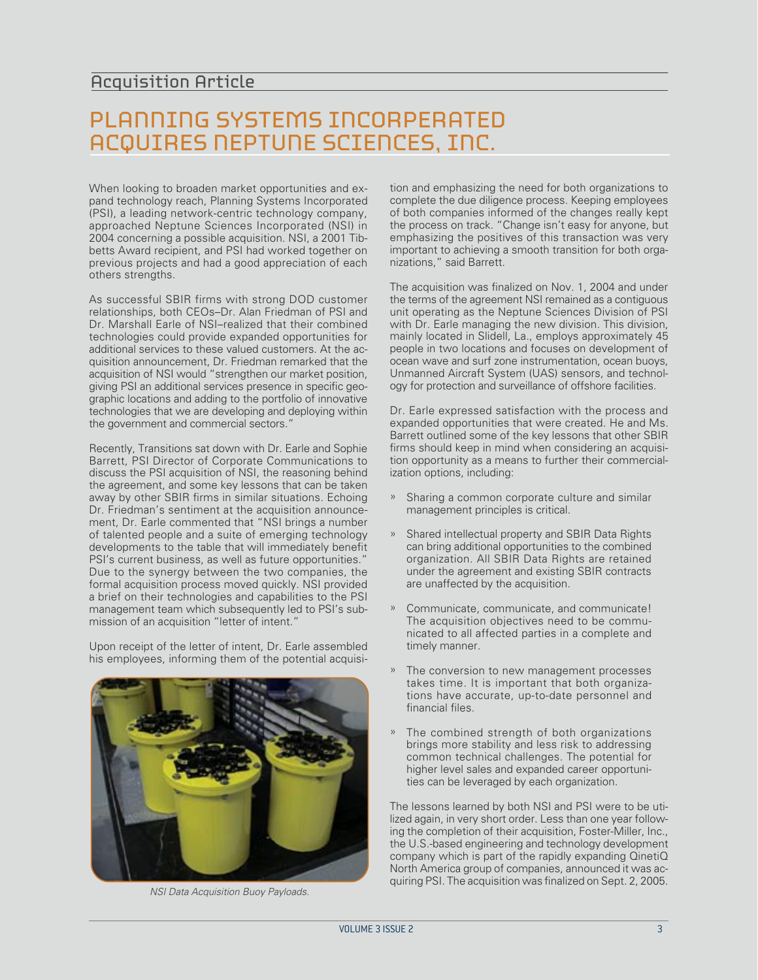### PLANNING SYSTEMS INCORPERATED ACQUIRES NEPTUNE SCIENCES, INC.

When looking to broaden market opportunities and expand technology reach, Planning Systems Incorporated (PSI), a leading network-centric technology company, approached Neptune Sciences Incorporated (NSI) in 2004 concerning a possible acquisition. NSI, a 2001 Tibbetts Award recipient, and PSI had worked together on previous projects and had a good appreciation of each others strengths.

As successful SBIR firms with strong DOD customer relationships, both CEOs–Dr. Alan Friedman of PSI and Dr. Marshall Earle of NSI–realized that their combined technologies could provide expanded opportunities for additional services to these valued customers. At the acquisition announcement, Dr. Friedman remarked that the acquisition of NSI would "strengthen our market position, giving PSI an additional services presence in specific geographic locations and adding to the portfolio of innovative technologies that we are developing and deploying within the government and commercial sectors."

Recently, Transitions sat down with Dr. Earle and Sophie Barrett, PSI Director of Corporate Communications to discuss the PSI acquisition of NSI, the reasoning behind the agreement, and some key lessons that can be taken away by other SBIR firms in similar situations. Echoing Dr. Friedman's sentiment at the acquisition announcement, Dr. Earle commented that "NSI brings a number of talented people and a suite of emerging technology developments to the table that will immediately benefit PSI's current business, as well as future opportunities." Due to the synergy between the two companies, the formal acquisition process moved quickly. NSI provided a brief on their technologies and capabilities to the PSI management team which subsequently led to PSI's submission of an acquisition "letter of intent."

Upon receipt of the letter of intent, Dr. Earle assembled his employees, informing them of the potential acquisi-



NSI Data Acquisition Buoy Payloads.

tion and emphasizing the need for both organizations to complete the due diligence process. Keeping employees of both companies informed of the changes really kept the process on track. "Change isn't easy for anyone, but emphasizing the positives of this transaction was very important to achieving a smooth transition for both organizations," said Barrett.

The acquisition was finalized on Nov. 1, 2004 and under the terms of the agreement NSI remained as a contiguous unit operating as the Neptune Sciences Division of PSI with Dr. Earle managing the new division. This division, mainly located in Slidell, La., employs approximately 45 people in two locations and focuses on development of ocean wave and surf zone instrumentation, ocean buoys, Unmanned Aircraft System (UAS) sensors, and technology for protection and surveillance of offshore facilities.

Dr. Earle expressed satisfaction with the process and expanded opportunities that were created. He and Ms. Barrett outlined some of the key lessons that other SBIR firms should keep in mind when considering an acquisition opportunity as a means to further their commercialization options, including:

- » Sharing a common corporate culture and similar management principles is critical.
- » Shared intellectual property and SBIR Data Rights can bring additional opportunities to the combined organization. All SBIR Data Rights are retained under the agreement and existing SBIR contracts are unaffected by the acquisition.
- » Communicate, communicate, and communicate! The acquisition objectives need to be communicated to all affected parties in a complete and timely manner.
- The conversion to new management processes takes time. It is important that both organizations have accurate, up-to-date personnel and financial files.
- The combined strength of both organizations brings more stability and less risk to addressing common technical challenges. The potential for higher level sales and expanded career opportunities can be leveraged by each organization.

The lessons learned by both NSI and PSI were to be utilized again, in very short order. Less than one year following the completion of their acquisition, Foster-Miller, Inc., the U.S.-based engineering and technology development company which is part of the rapidly expanding QinetiQ North America group of companies, announced it was acquiring PSI. The acquisition was finalized on Sept. 2, 2005.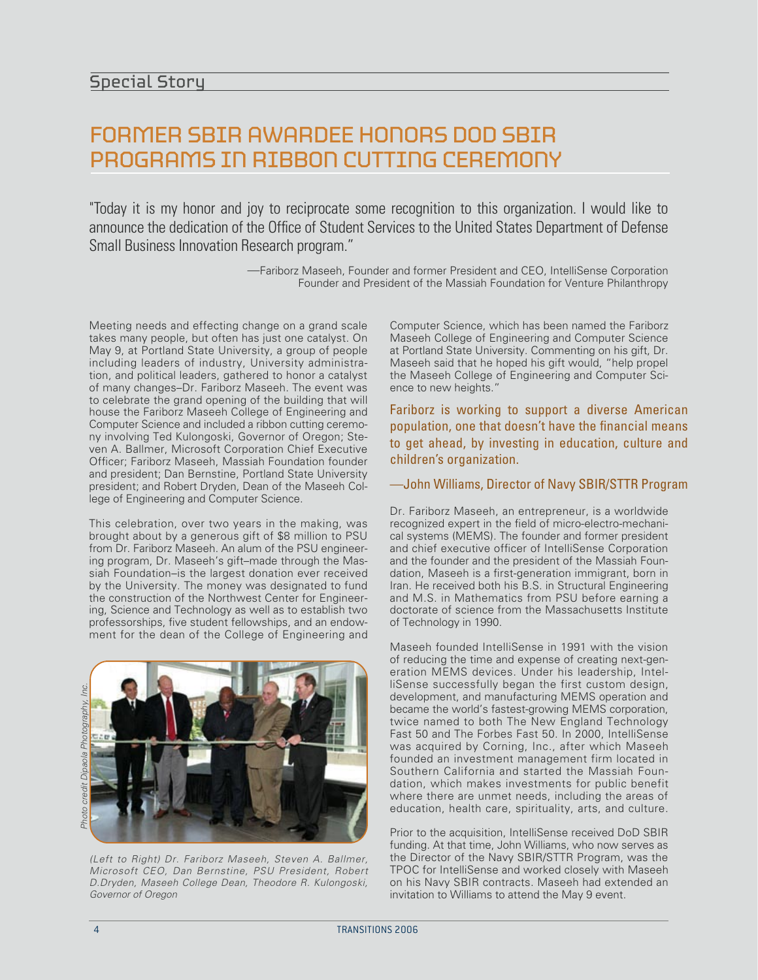### FORMER SBIR AWARDEE HONORS DOD SBIR PROGRAMS IN RIBBON CUTTING CEREMONY

"Today it is my honor and joy to reciprocate some recognition to this organization. I would like to announce the dedication of the Office of Student Services to the United States Department of Defense Small Business Innovation Research program."

> —Fariborz Maseeh, Founder and former President and CEO, IntelliSense Corporation Founder and President of the Massiah Foundation for Venture Philanthropy

Meeting needs and effecting change on a grand scale takes many people, but often has just one catalyst. On May 9, at Portland State University, a group of people including leaders of industry, University administration, and political leaders, gathered to honor a catalyst of many changes–Dr. Fariborz Maseeh. The event was to celebrate the grand opening of the building that will house the Fariborz Maseeh College of Engineering and Computer Science and included a ribbon cutting ceremony involving Ted Kulongoski, Governor of Oregon; Steven A. Ballmer, Microsoft Corporation Chief Executive Officer; Fariborz Maseeh, Massiah Foundation founder and president; Dan Bernstine, Portland State University president; and Robert Dryden, Dean of the Maseeh College of Engineering and Computer Science.

This celebration, over two years in the making, was brought about by a generous gift of \$8 million to PSU from Dr. Fariborz Maseeh. An alum of the PSU engineering program, Dr. Maseeh's gift–made through the Massiah Foundation–is the largest donation ever received by the University. The money was designated to fund the construction of the Northwest Center for Engineering, Science and Technology as well as to establish two professorships, five student fellowships, and an endowment for the dean of the College of Engineering and



(Left to Right) Dr. Fariborz Maseeh, Steven A. Ballmer, Microsoft CEO, Dan Bernstine, PSU President, Robert D.Dryden, Maseeh College Dean, Theodore R. Kulongoski, Governor of Oregon

Computer Science, which has been named the Fariborz Maseeh College of Engineering and Computer Science at Portland State University. Commenting on his gift, Dr. Maseeh said that he hoped his gift would, "help propel the Maseeh College of Engineering and Computer Science to new heights."

Fariborz is working to support a diverse American population, one that doesn't have the financial means to get ahead, by investing in education, culture and children's organization.

—John Williams, Director of Navy SBIR/STTR Program

Dr. Fariborz Maseeh, an entrepreneur, is a worldwide recognized expert in the field of micro-electro-mechanical systems (MEMS). The founder and former president and chief executive officer of IntelliSense Corporation and the founder and the president of the Massiah Foundation, Maseeh is a first-generation immigrant, born in Iran. He received both his B.S. in Structural Engineering and M.S. in Mathematics from PSU before earning a doctorate of science from the Massachusetts Institute of Technology in 1990.

Maseeh founded IntelliSense in 1991 with the vision of reducing the time and expense of creating next-generation MEMS devices. Under his leadership, IntelliSense successfully began the first custom design, development, and manufacturing MEMS operation and became the world's fastest-growing MEMS corporation, twice named to both The New England Technology Fast 50 and The Forbes Fast 50. In 2000, IntelliSense was acquired by Corning, Inc., after which Maseeh founded an investment management firm located in Southern California and started the Massiah Foundation, which makes investments for public benefit where there are unmet needs, including the areas of education, health care, spirituality, arts, and culture.

Prior to the acquisition, IntelliSense received DoD SBIR funding. At that time, John Williams, who now serves as the Director of the Navy SBIR/STTR Program, was the TPOC for IntelliSense and worked closely with Maseeh on his Navy SBIR contracts. Maseeh had extended an invitation to Williams to attend the May 9 event.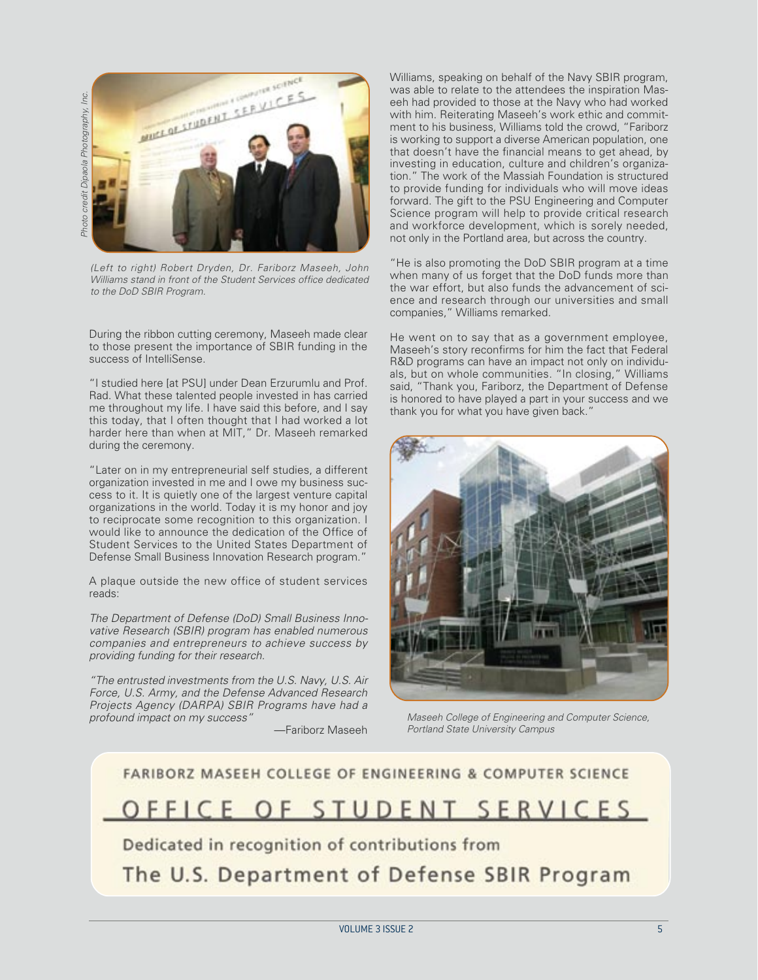Inc. Photo credit Dipaola Photography, Inc. Photo credit Dipaola Photography,



(Left to right) Robert Dryden, Dr. Fariborz Maseeh, John Williams stand in front of the Student Services office dedicated to the DoD SBIR Program.

During the ribbon cutting ceremony, Maseeh made clear to those present the importance of SBIR funding in the success of IntelliSense.

"I studied here [at PSU] under Dean Erzurumlu and Prof. Rad. What these talented people invested in has carried me throughout my life. I have said this before, and I say this today, that I often thought that I had worked a lot harder here than when at MIT," Dr. Maseeh remarked during the ceremony.

"Later on in my entrepreneurial self studies, a different organization invested in me and I owe my business success to it. It is quietly one of the largest venture capital organizations in the world. Today it is my honor and joy to reciprocate some recognition to this organization. I would like to announce the dedication of the Office of Student Services to the United States Department of Defense Small Business Innovation Research program."

A plaque outside the new office of student services reads:

The Department of Defense (DoD) Small Business Innovative Research (SBIR) program has enabled numerous companies and entrepreneurs to achieve success by providing funding for their research.

"The entrusted investments from the U.S. Navy, U.S. Air Force, U.S. Army, and the Defense Advanced Research Projects Agency (DARPA) SBIR Programs have had a profound impact on my success"

—Fariborz Maseeh

Williams, speaking on behalf of the Navy SBIR program, was able to relate to the attendees the inspiration Maseeh had provided to those at the Navy who had worked with him. Reiterating Maseeh's work ethic and commitment to his business, Williams told the crowd, "Fariborz is working to support a diverse American population, one that doesn't have the financial means to get ahead, by investing in education, culture and children's organization." The work of the Massiah Foundation is structured to provide funding for individuals who will move ideas forward. The gift to the PSU Engineering and Computer Science program will help to provide critical research and workforce development, which is sorely needed, not only in the Portland area, but across the country.

"He is also promoting the DoD SBIR program at a time when many of us forget that the DoD funds more than the war effort, but also funds the advancement of science and research through our universities and small companies," Williams remarked.

He went on to say that as a government employee, Maseeh's story reconfirms for him the fact that Federal R&D programs can have an impact not only on individuals, but on whole communities. "In closing," Williams said, "Thank you, Fariborz, the Department of Defense is honored to have played a part in your success and we thank you for what you have given back.'



Maseeh College of Engineering and Computer Science, Portland State University Campus

## FARIBORZ MASEEH COLLEGE OF ENGINEERING & COMPUTER SCIENCE OFFICE OF STUDENT SERVICES

Dedicated in recognition of contributions from

The U.S. Department of Defense SBIR Program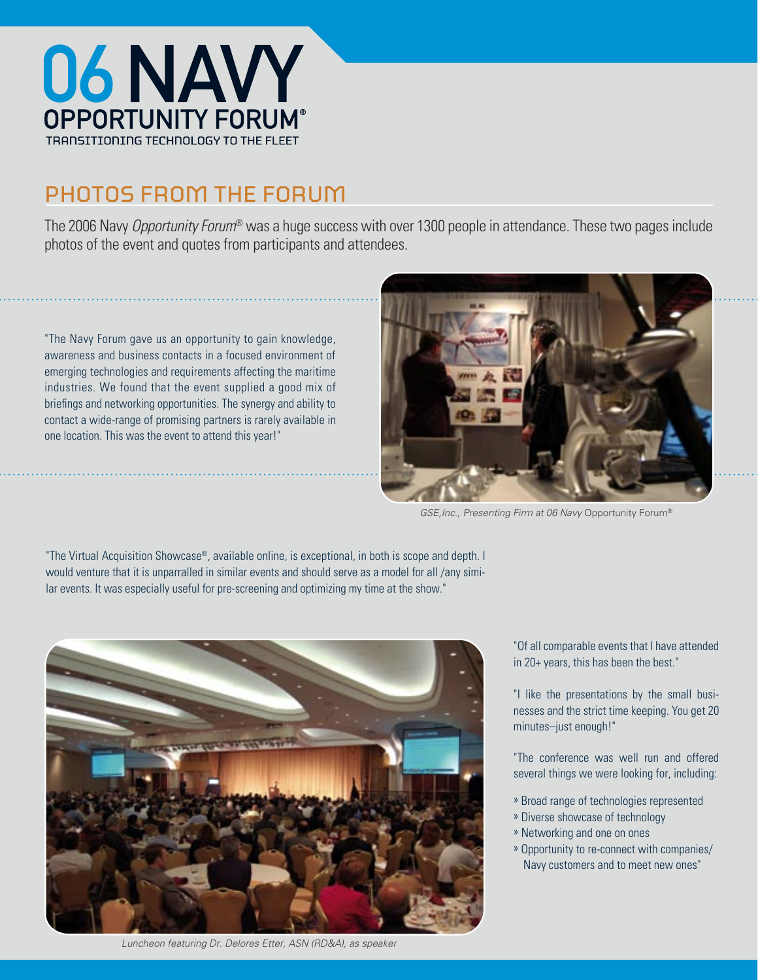

## PHOTOS FROM THE FORUM

The 2006 Navy Opportunity Forum® was a huge success with over 1300 people in attendance. These two pages include photos of the event and quotes from participants and attendees.

"The Navy Forum gave us an opportunity to gain knowledge, awareness and business contacts in a focused environment of emerging technologies and requirements affecting the maritime industries. We found that the event supplied a good mix of briefings and networking opportunities. The synergy and ability to contact a wide-range of promising partners is rarely available in one location. This was the event to attend this year!"



GSE,Inc., Presenting Firm at 06 Navy Opportunity Forum®

"The Virtual Acquisition Showcase®, available online, is exceptional, in both is scope and depth. I would venture that it is unparralled in similar events and should serve as a model for all /any similar events. It was especially useful for pre-screening and optimizing my time at the show."



Luncheon featuring Dr. Delores Etter, ASN (RD&A), as speaker

"Of all comparable events that I have attended in 20+ years, this has been the best."

"I like the presentations by the small businesses and the strict time keeping. You get 20 minutes–just enough!"

"The conference was well run and offered several things we were looking for, including:

- » Broad range of technologies represented
- » Diverse showcase of technology
- » Networking and one on ones
- » Opportunity to re-connect with companies/ Navy customers and to meet new ones"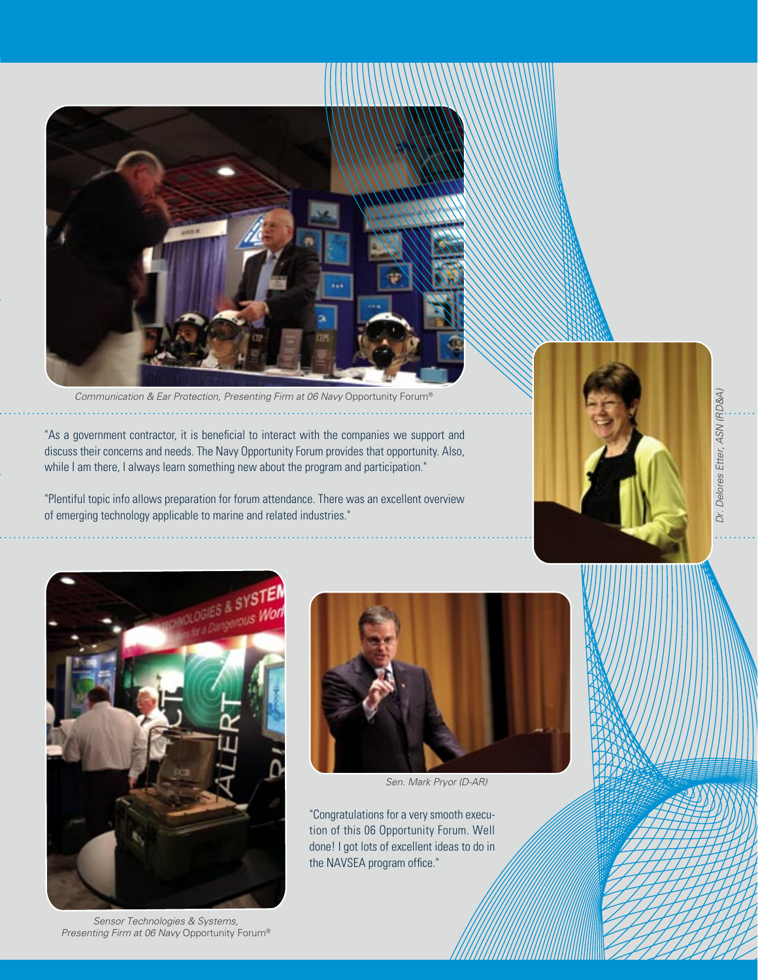

Communication & Ear Protection, Presenting Firm at 06 Navy Opportunity Forum®

"As a government contractor, it is beneficial to interact with the companies we support and discuss their concerns and needs. The Navy Opportunity Forum provides that opportunity. Also, while I am there, I always learn something new about the program and participation."

"Plentiful topic info allows preparation for forum attendance. There was an excellent overview of emerging technology applicable to marine and related industries."



Dr. Delores Etter, ASN (RD&A)



Sensor Technologies & Systems, Presenting Firm at 06 Navy Opportunity Forum®



Sen. Mark Pryor (D-AR)

"Congratulations for a very smooth execution of this 06 Opportunity Forum. Well done! I got lots of excellent ideas to do in the NAVSEA program office."